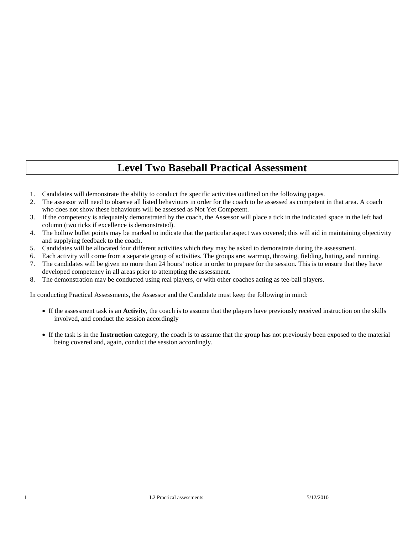# **Level Two Baseball Practical Assessment**

- 1. Candidates will demonstrate the ability to conduct the specific activities outlined on the following pages.
- 2. The assessor will need to observe all listed behaviours in order for the coach to be assessed as competent in that area. A coach who does not show these behaviours will be assessed as Not Yet Competent.
- 3. If the competency is adequately demonstrated by the coach, the Assessor will place a tick in the indicated space in the left had column (two ticks if excellence is demonstrated).
- 4. The hollow bullet points may be marked to indicate that the particular aspect was covered; this will aid in maintaining objectivity and supplying feedback to the coach.
- 5. Candidates will be allocated four different activities which they may be asked to demonstrate during the assessment.
- 6. Each activity will come from a separate group of activities. The groups are: warmup, throwing, fielding, hitting, and running.
- 7. The candidates will be given no more than 24 hours' notice in order to prepare for the session. This is to ensure that they have developed competency in all areas prior to attempting the assessment.
- 8. The demonstration may be conducted using real players, or with other coaches acting as tee-ball players.

In conducting Practical Assessments, the Assessor and the Candidate must keep the following in mind:

- If the assessment task is an **Activity**, the coach is to assume that the players have previously received instruction on the skills involved, and conduct the session accordingly
- If the task is in the **Instruction** category, the coach is to assume that the group has not previously been exposed to the material being covered and, again, conduct the session accordingly.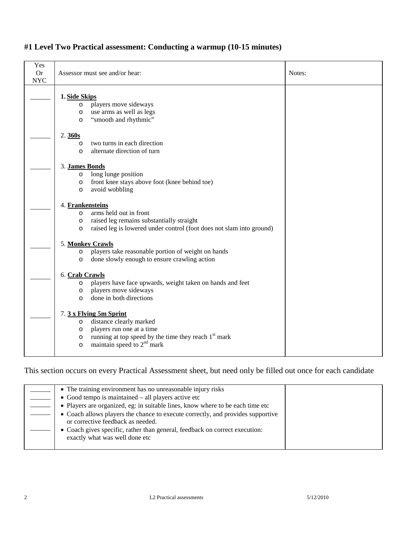| Yes<br><b>Or</b><br><b>NYC</b> | Assessor must see and/or hear:                                                                                                                                                                                                  | Notes: |
|--------------------------------|---------------------------------------------------------------------------------------------------------------------------------------------------------------------------------------------------------------------------------|--------|
|                                | 1. Side Skips<br>players move sideways<br>$\circ$<br>use arms as well as legs<br>$\circ$<br>"smooth and rhythmic"<br>$\circ$                                                                                                    |        |
|                                | 2.360s<br>two turns in each direction<br>$\circ$<br>alternate direction of turn<br>$\circ$                                                                                                                                      |        |
|                                | 3. James Bonds<br>long lunge position<br>$\circ$<br>front knee stays above foot (knee behind toe)<br>$\circ$<br>avoid wobbling<br>$\circ$                                                                                       |        |
|                                | 4. Frankensteins<br>arms held out in front<br>$\circ$<br>raised leg remains substantially straight<br>$\circ$<br>raised leg is lowered under control (foot does not slam into ground)<br>$\circ$                                |        |
|                                | 5. Monkey Crawls<br>players take reasonable portion of weight on hands<br>$\circ$<br>done slowly enough to ensure crawling action<br>$\circ$                                                                                    |        |
|                                | 6. Crab Crawls<br>players have face upwards, weight taken on hands and feet<br>$\circ$<br>players move sideways<br>$\circ$<br>done in both directions<br>$\circ$                                                                |        |
|                                | 7. 3 x Flying 5m Sprint<br>distance clearly marked<br>$\circ$<br>players run one at a time<br>$\circ$<br>running at top speed by the time they reach 1 <sup>st</sup> mark<br>$\circ$<br>maintain speed to $2nd$ mark<br>$\circ$ |        |

#### **#1 Level Two Practical assessment: Conducting a warmup (10-15 minutes)**

| • The training environment has no unreasonable injury risks<br>$\bullet$ Good tempo is maintained $-$ all players active etc<br>• Players are organized, eg: in suitable lines, know where to be each time etc<br>• Coach allows players the chance to execute correctly, and provides supportive<br>or corrective feedback as needed.<br>• Coach gives specific, rather than general, feedback on correct execution: |  |
|-----------------------------------------------------------------------------------------------------------------------------------------------------------------------------------------------------------------------------------------------------------------------------------------------------------------------------------------------------------------------------------------------------------------------|--|
| exactly what was well done etc                                                                                                                                                                                                                                                                                                                                                                                        |  |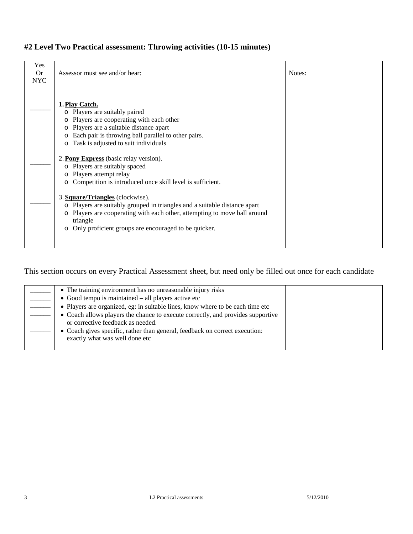| Yes<br><b>Or</b><br><b>NYC</b> | Assessor must see and/or hear:                                                                                                                                                                                                                                                                                                                                      | Notes: |
|--------------------------------|---------------------------------------------------------------------------------------------------------------------------------------------------------------------------------------------------------------------------------------------------------------------------------------------------------------------------------------------------------------------|--------|
|                                | 1. Play Catch.<br>o Players are suitably paired<br>o Players are cooperating with each other<br>o Players are a suitable distance apart<br>Each pair is throwing ball parallel to other pairs.<br>$\circ$<br>Task is adjusted to suit individuals<br>$\circ$<br>2. Pony Express (basic relay version).<br>o Players are suitably spaced                             |        |
|                                | Players attempt relay<br>$\circ$<br>o Competition is introduced once skill level is sufficient.<br>3. Square/Triangles (clockwise).<br>o Players are suitably grouped in triangles and a suitable distance apart<br>o Players are cooperating with each other, attempting to move ball around<br>triangle<br>o Only proficient groups are encouraged to be quicker. |        |

#### **#2 Level Two Practical assessment: Throwing activities (10-15 minutes)**

| • The training environment has no unreasonable injury risks                                                          |  |
|----------------------------------------------------------------------------------------------------------------------|--|
| $\bullet$ Good tempo is maintained $-$ all players active etc                                                        |  |
| • Players are organized, eg: in suitable lines, know where to be each time etc                                       |  |
| • Coach allows players the chance to execute correctly, and provides supportive<br>or corrective feedback as needed. |  |
| • Coach gives specific, rather than general, feedback on correct execution:<br>exactly what was well done etc        |  |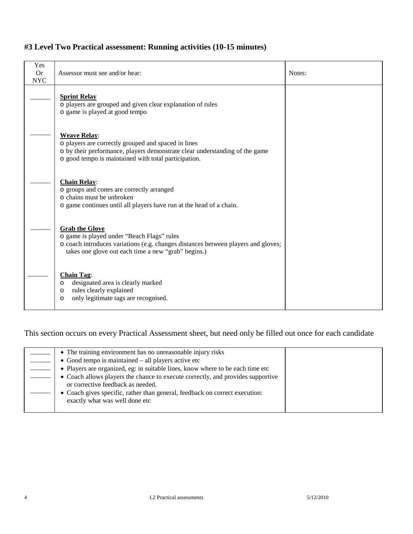| Yes<br><b>Or</b><br><b>NYC</b> | Assessor must see and/or hear:                                                                                                                                                                                    | Notes: |
|--------------------------------|-------------------------------------------------------------------------------------------------------------------------------------------------------------------------------------------------------------------|--------|
|                                | <b>Sprint Relay</b><br>o players are grouped and given clear explanation of rules<br>o game is played at good tempo                                                                                               |        |
|                                | <b>Weave Relay:</b><br>o players are correctly grouped and spaced in lines<br>o by their performance, players demonstrate clear understanding of the game<br>o good tempo is maintained with total participation. |        |
|                                | <b>Chain Relay:</b><br>o groups and cones are correctly arranged<br>o chains must be unbroken<br>o game continues until all players have run at the head of a chain.                                              |        |
|                                | <b>Grab the Glove</b><br>o game is played under "Beach Flags" rules<br>o coach introduces variations (e.g. changes distances between players and gloves;<br>takes one glove out each time a new "grab" begins.)   |        |
|                                | <b>Chain Tag:</b><br>designated area is clearly marked<br>$\circ$<br>rules clearly explained<br>$\circ$<br>only legitimate tags are recognised.<br>$\circ$                                                        |        |

### **#3 Level Two Practical assessment: Running activities (10-15 minutes)**

| • The training environment has no unreasonable injury risks                                                          |  |
|----------------------------------------------------------------------------------------------------------------------|--|
| $\bullet$ Good tempo is maintained $-$ all players active etc                                                        |  |
| • Players are organized, eg: in suitable lines, know where to be each time etc                                       |  |
| • Coach allows players the chance to execute correctly, and provides supportive<br>or corrective feedback as needed. |  |
| • Coach gives specific, rather than general, feedback on correct execution:<br>exactly what was well done etc        |  |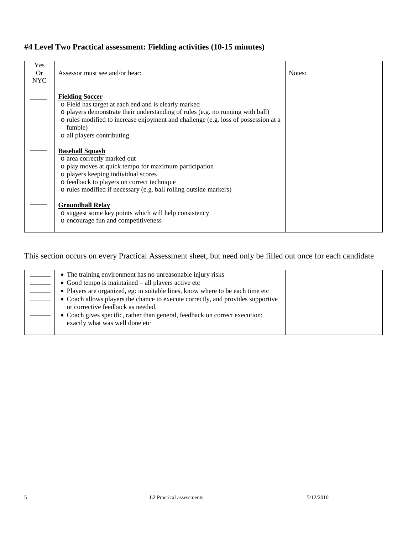| #4 Level Two Practical assessment: Fielding activities (10-15 minutes) |  |  |  |
|------------------------------------------------------------------------|--|--|--|
|------------------------------------------------------------------------|--|--|--|

| Yes<br><b>Or</b><br><b>NYC</b> | Assessor must see and/or hear:                                                                                                                                                                                                                                                                  | Notes: |
|--------------------------------|-------------------------------------------------------------------------------------------------------------------------------------------------------------------------------------------------------------------------------------------------------------------------------------------------|--------|
|                                | <b>Fielding Soccer</b><br>o Field has target at each end and is clearly marked<br>o players demonstrate their understanding of rules (e.g. no running with ball)<br>o rules modified to increase enjoyment and challenge (e.g. loss of possession at a<br>fumble)<br>o all players contributing |        |
|                                | <b>Baseball Squash</b><br>o area correctly marked out<br>o play moves at quick tempo for maximum participation<br>o players keeping individual scores<br>o feedback to players on correct technique<br>o rules modified if necessary (e.g. ball rolling outside markers)                        |        |
|                                | <b>Groundball Relay</b><br>o suggest some key points which will help consistency<br>o encourage fun and competitiveness                                                                                                                                                                         |        |

| • The training environment has no unreasonable injury risks                                                          |  |
|----------------------------------------------------------------------------------------------------------------------|--|
| $\bullet$ Good tempo is maintained $-$ all players active etc                                                        |  |
| • Players are organized, eg: in suitable lines, know where to be each time etc                                       |  |
| • Coach allows players the chance to execute correctly, and provides supportive<br>or corrective feedback as needed. |  |
| • Coach gives specific, rather than general, feedback on correct execution:<br>exactly what was well done etc        |  |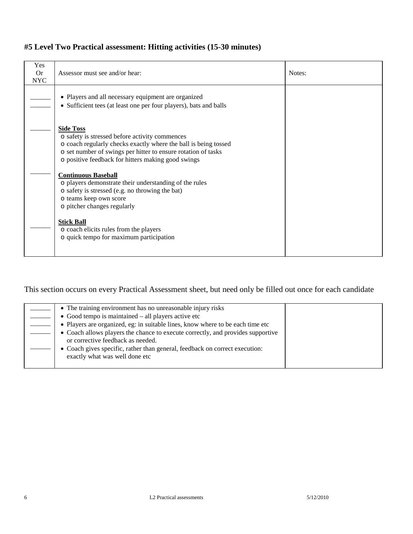| Yes<br><b>Or</b><br><b>NYC</b> | Assessor must see and/or hear:                                                                                                                                                                                                                               | Notes: |
|--------------------------------|--------------------------------------------------------------------------------------------------------------------------------------------------------------------------------------------------------------------------------------------------------------|--------|
|                                | • Players and all necessary equipment are organized<br>• Sufficient tees (at least one per four players), bats and balls                                                                                                                                     |        |
|                                | <b>Side Toss</b><br>o safety is stressed before activity commences<br>o coach regularly checks exactly where the ball is being tossed<br>o set number of swings per hitter to ensure rotation of tasks<br>o positive feedback for hitters making good swings |        |
|                                | <b>Continuous Baseball</b><br>o players demonstrate their understanding of the rules<br>o safety is stressed (e.g. no throwing the bat)<br>o teams keep own score<br>o pitcher changes regularly                                                             |        |
|                                | <b>Stick Ball</b><br>o coach elicits rules from the players<br>o quick tempo for maximum participation                                                                                                                                                       |        |

#### **#5 Level Two Practical assessment: Hitting activities (15-30 minutes)**

| • The training environment has no unreasonable injury risks                                                          |  |
|----------------------------------------------------------------------------------------------------------------------|--|
| • Good tempo is maintained $-$ all players active etc                                                                |  |
| • Players are organized, eg: in suitable lines, know where to be each time etc                                       |  |
| • Coach allows players the chance to execute correctly, and provides supportive<br>or corrective feedback as needed. |  |
| • Coach gives specific, rather than general, feedback on correct execution:<br>exactly what was well done etc        |  |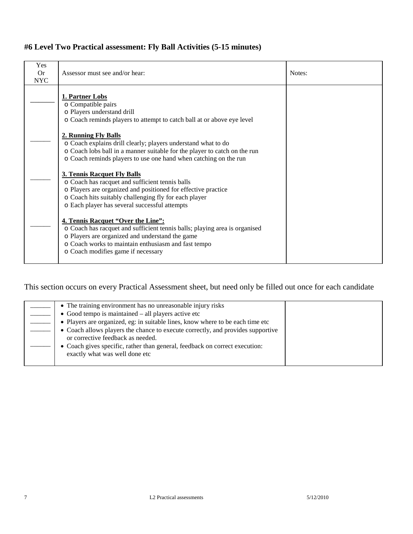## **#6 Level Two Practical assessment: Fly Ball Activities (5-15 minutes)**

| Yes<br>Or.<br><b>NYC</b> | Assessor must see and/or hear:                                                                                                                                                                                                                                   | Notes: |
|--------------------------|------------------------------------------------------------------------------------------------------------------------------------------------------------------------------------------------------------------------------------------------------------------|--------|
|                          | 1. Partner Lobs<br>o Compatible pairs<br>o Players understand drill<br>o Coach reminds players to attempt to catch ball at or above eye level                                                                                                                    |        |
|                          | 2. Running Fly Balls<br>o Coach explains drill clearly; players understand what to do<br>o Coach lobs ball in a manner suitable for the player to catch on the run<br>o Coach reminds players to use one hand when catching on the run                           |        |
|                          | 3. Tennis Racquet Fly Balls<br>o Coach has racquet and sufficient tennis balls<br>o Players are organized and positioned for effective practice<br>o Coach hits suitably challenging fly for each player<br>o Each player has several successful attempts        |        |
|                          | 4. Tennis Racquet "Over the Line":<br>o Coach has racquet and sufficient tennis balls; playing area is organised<br>o Players are organized and understand the game<br>o Coach works to maintain enthusiasm and fast tempo<br>o Coach modifies game if necessary |        |

|  |  | • The training environment has no unreasonable injury risks<br>$\bullet$ Good tempo is maintained – all players active etc<br>• Players are organized, eg: in suitable lines, know where to be each time etc<br>• Coach allows players the chance to execute correctly, and provides supportive<br>or corrective feedback as needed.<br>• Coach gives specific, rather than general, feedback on correct execution:<br>exactly what was well done etc |  |
|--|--|-------------------------------------------------------------------------------------------------------------------------------------------------------------------------------------------------------------------------------------------------------------------------------------------------------------------------------------------------------------------------------------------------------------------------------------------------------|--|
|--|--|-------------------------------------------------------------------------------------------------------------------------------------------------------------------------------------------------------------------------------------------------------------------------------------------------------------------------------------------------------------------------------------------------------------------------------------------------------|--|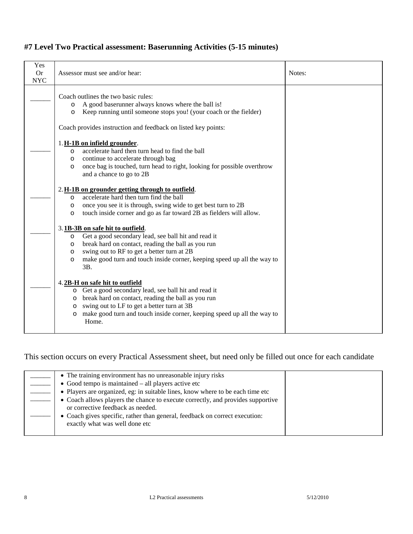|  | #7 Level Two Practical assessment: Baserunning Activities (5-15 minutes) |
|--|--------------------------------------------------------------------------|
|--|--------------------------------------------------------------------------|

| Yes<br><b>Or</b><br><b>NYC</b> | Assessor must see and/or hear:                                                                                                                                                                                                                                                                                            | Notes: |
|--------------------------------|---------------------------------------------------------------------------------------------------------------------------------------------------------------------------------------------------------------------------------------------------------------------------------------------------------------------------|--------|
|                                | Coach outlines the two basic rules:<br>A good baserunner always knows where the ball is!<br>$\circ$<br>Keep running until someone stops you! (your coach or the fielder)<br>$\circ$<br>Coach provides instruction and feedback on listed key points:                                                                      |        |
|                                | 1. H-1B on infield grounder.<br>accelerate hard then turn head to find the ball<br>$\circ$<br>continue to accelerate through bag<br>$\circ$<br>once bag is touched, turn head to right, looking for possible overthrow<br>$\circ$<br>and a chance to go to 2B                                                             |        |
|                                | 2. H-1B on grounder getting through to outfield.<br>accelerate hard then turn find the ball<br>$\circ$<br>once you see it is through, swing wide to get best turn to 2B<br>$\circ$<br>touch inside corner and go as far toward 2B as fielders will allow.<br>$\circ$                                                      |        |
|                                | 3.1B-3B on safe hit to outfield.<br>Get a good secondary lead, see ball hit and read it<br>$\circ$<br>break hard on contact, reading the ball as you run<br>$\circ$<br>swing out to RF to get a better turn at 2B<br>$\circ$<br>make good turn and touch inside corner, keeping speed up all the way to<br>$\circ$<br>3B. |        |
|                                | 4.2B-H on safe hit to outfield<br>o Get a good secondary lead, see ball hit and read it<br>break hard on contact, reading the ball as you run<br>$\circ$<br>swing out to LF to get a better turn at 3B<br>$\circ$<br>make good turn and touch inside corner, keeping speed up all the way to<br>$\circ$<br>Home.          |        |

| • The training environment has no unreasonable injury risks                                                          |  |
|----------------------------------------------------------------------------------------------------------------------|--|
| • Good tempo is maintained $-$ all players active etc                                                                |  |
| • Players are organized, eg: in suitable lines, know where to be each time etc                                       |  |
| • Coach allows players the chance to execute correctly, and provides supportive<br>or corrective feedback as needed. |  |
|                                                                                                                      |  |
| • Coach gives specific, rather than general, feedback on correct execution:                                          |  |
| exactly what was well done etc                                                                                       |  |
|                                                                                                                      |  |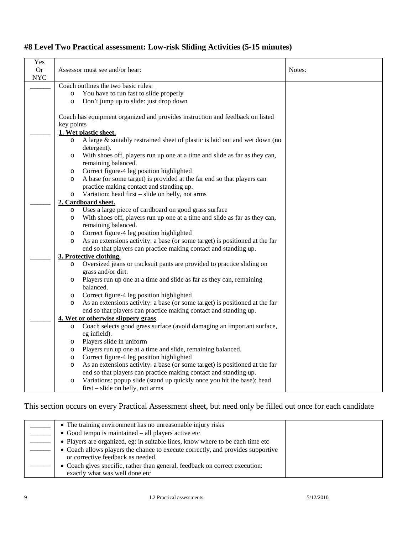## **#8 Level Two Practical assessment: Low-risk Sliding Activities (5-15 minutes)**

| Yes<br><b>Or</b><br><b>NYC</b> |            | Assessor must see and/or hear:                                                | Notes: |
|--------------------------------|------------|-------------------------------------------------------------------------------|--------|
|                                |            | Coach outlines the two basic rules:                                           |        |
|                                | $\circ$    | You have to run fast to slide properly                                        |        |
|                                | $\circ$    | Don't jump up to slide: just drop down                                        |        |
|                                |            |                                                                               |        |
|                                |            | Coach has equipment organized and provides instruction and feedback on listed |        |
|                                | key points |                                                                               |        |
|                                |            | 1. Wet plastic sheet.                                                         |        |
|                                | $\circ$    | A large & suitably restrained sheet of plastic is laid out and wet down (no   |        |
|                                |            | detergent).                                                                   |        |
|                                | $\circ$    | With shoes off, players run up one at a time and slide as far as they can,    |        |
|                                |            | remaining balanced.                                                           |        |
|                                | $\circ$    | Correct figure-4 leg position highlighted                                     |        |
|                                | $\circ$    | A base (or some target) is provided at the far end so that players can        |        |
|                                |            | practice making contact and standing up.                                      |        |
|                                | $\circ$    | Variation: head first – slide on belly, not arms                              |        |
|                                |            | 2. Cardboard sheet.                                                           |        |
|                                | $\circ$    | Uses a large piece of cardboard on good grass surface                         |        |
|                                | $\circ$    | With shoes off, players run up one at a time and slide as far as they can,    |        |
|                                |            | remaining balanced.                                                           |        |
|                                | $\circ$    | Correct figure-4 leg position highlighted                                     |        |
|                                | $\circ$    | As an extensions activity: a base (or some target) is positioned at the far   |        |
|                                |            | end so that players can practice making contact and standing up.              |        |
|                                |            | 3. Protective clothing.                                                       |        |
|                                | $\circ$    | Oversized jeans or tracksuit pants are provided to practice sliding on        |        |
|                                |            | grass and/or dirt.                                                            |        |
|                                | $\circ$    | Players run up one at a time and slide as far as they can, remaining          |        |
|                                |            | balanced.                                                                     |        |
|                                | $\circ$    | Correct figure-4 leg position highlighted                                     |        |
|                                | $\circ$    | As an extensions activity: a base (or some target) is positioned at the far   |        |
|                                |            | end so that players can practice making contact and standing up.              |        |
|                                |            | 4. Wet or otherwise slippery grass.                                           |        |
|                                | $\circ$    | Coach selects good grass surface (avoid damaging an important surface,        |        |
|                                |            | eg infield).                                                                  |        |
|                                | $\circ$    | Players slide in uniform                                                      |        |
|                                | $\circ$    | Players run up one at a time and slide, remaining balanced.                   |        |
|                                | $\circ$    | Correct figure-4 leg position highlighted                                     |        |
|                                | $\circ$    | As an extensions activity: a base (or some target) is positioned at the far   |        |
|                                |            | end so that players can practice making contact and standing up.              |        |
|                                | $\circ$    | Variations: popup slide (stand up quickly once you hit the base); head        |        |
|                                |            | first – slide on belly, not arms                                              |        |

| • The training environment has no unreasonable injury risks                     |  |
|---------------------------------------------------------------------------------|--|
| • Good tempo is maintained $-$ all players active etc                           |  |
| • Players are organized, eg: in suitable lines, know where to be each time etc  |  |
| • Coach allows players the chance to execute correctly, and provides supportive |  |
| or corrective feedback as needed.                                               |  |
| • Coach gives specific, rather than general, feedback on correct execution:     |  |
| exactly what was well done etc                                                  |  |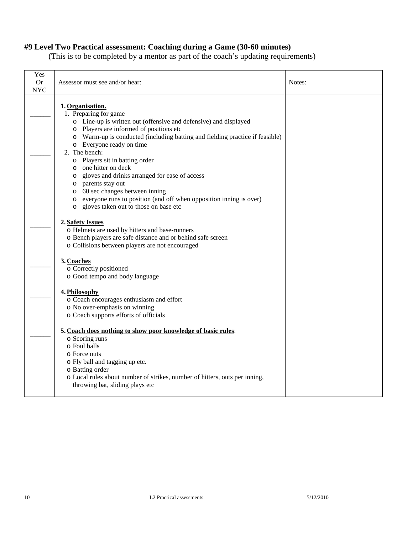## **#9 Level Two Practical assessment: Coaching during a Game (30-60 minutes)**

(This is to be completed by a mentor as part of the coach's updating requirements)

| Yes<br><b>Or</b><br><b>NYC</b> | Assessor must see and/or hear:                                                                                                                                                                                                                                                                                                                                                                                                                                                                                                                                                                         | Notes: |
|--------------------------------|--------------------------------------------------------------------------------------------------------------------------------------------------------------------------------------------------------------------------------------------------------------------------------------------------------------------------------------------------------------------------------------------------------------------------------------------------------------------------------------------------------------------------------------------------------------------------------------------------------|--------|
|                                | 1. Organisation.<br>1. Preparing for game<br>o Line-up is written out (offensive and defensive) and displayed<br>o Players are informed of positions etc<br>Warm-up is conducted (including batting and fielding practice if feasible)<br>O<br>o Everyone ready on time<br>2. The bench:<br>o Players sit in batting order<br>o one hitter on deck<br>gloves and drinks arranged for ease of access<br>$\circ$<br>o parents stay out<br>o 60 sec changes between inning<br>everyone runs to position (and off when opposition inning is over)<br>O<br>gloves taken out to those on base etc<br>$\circ$ |        |
|                                | 2. Safety Issues<br>o Helmets are used by hitters and base-runners<br>o Bench players are safe distance and or behind safe screen<br>o Collisions between players are not encouraged                                                                                                                                                                                                                                                                                                                                                                                                                   |        |
|                                | 3. Coaches<br>o Correctly positioned<br>o Good tempo and body language                                                                                                                                                                                                                                                                                                                                                                                                                                                                                                                                 |        |
|                                | 4. Philosophy<br>o Coach encourages enthusiasm and effort<br>o No over-emphasis on winning<br>o Coach supports efforts of officials                                                                                                                                                                                                                                                                                                                                                                                                                                                                    |        |
|                                | 5. Coach does nothing to show poor knowledge of basic rules:<br>o Scoring runs<br>o Foul balls<br>o Force outs<br>o Fly ball and tagging up etc.<br>o Batting order<br>o Local rules about number of strikes, number of hitters, outs per inning,<br>throwing bat, sliding plays etc                                                                                                                                                                                                                                                                                                                   |        |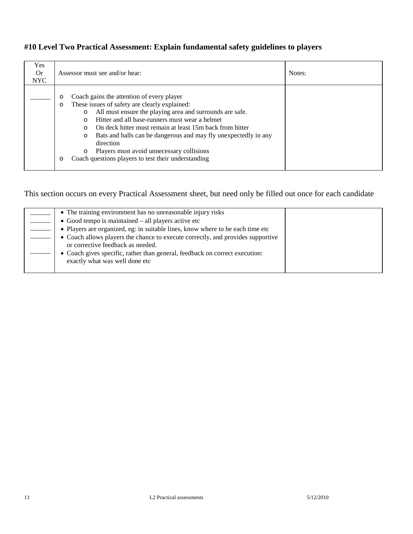## **#10 Level Two Practical Assessment: Explain fundamental safety guidelines to players**

| Yes.<br><b>Or</b><br><b>NYC</b> | Assessor must see and/or hear:                                                                                                                                                                                                                                                                                                                                                                                                                                                                                     | Notes: |
|---------------------------------|--------------------------------------------------------------------------------------------------------------------------------------------------------------------------------------------------------------------------------------------------------------------------------------------------------------------------------------------------------------------------------------------------------------------------------------------------------------------------------------------------------------------|--------|
|                                 | Coach gains the attention of every player<br>$\circ$<br>These issues of safety are clearly explained:<br>O<br>All must ensure the playing area and surrounds are safe.<br>O<br>Hitter and all base-runners must wear a helmet<br>On deck hitter must remain at least 15m back from hitter<br>$\cap$<br>Bats and balls can be dangerous and may fly unexpectedly in any<br>$\circ$<br>direction<br>Players must avoid unnecessary collisions<br>$\circ$<br>Coach questions players to test their understanding<br>O |        |

| • The training environment has no unreasonable injury risks                                                          |  |
|----------------------------------------------------------------------------------------------------------------------|--|
| $\bullet$ Good tempo is maintained $-$ all players active etc                                                        |  |
| • Players are organized, eg: in suitable lines, know where to be each time etc                                       |  |
| • Coach allows players the chance to execute correctly, and provides supportive<br>or corrective feedback as needed. |  |
| • Coach gives specific, rather than general, feedback on correct execution:<br>exactly what was well done etc        |  |
|                                                                                                                      |  |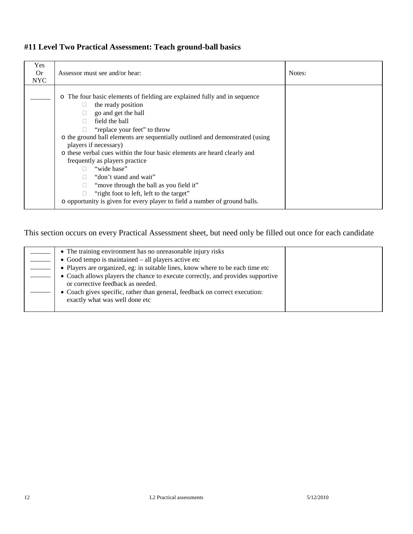| Yes<br><b>Or</b><br><b>NYC</b> | Assessor must see and/or hear:                                                                                                                                                                                                                                                                                                                                                                                                                                                                                                                                                                                         | Notes: |
|--------------------------------|------------------------------------------------------------------------------------------------------------------------------------------------------------------------------------------------------------------------------------------------------------------------------------------------------------------------------------------------------------------------------------------------------------------------------------------------------------------------------------------------------------------------------------------------------------------------------------------------------------------------|--------|
|                                | The four basic elements of fielding are explained fully and in sequence<br>$\circ$<br>the ready position<br>go and get the ball<br>field the ball<br>"replace your feet" to throw<br>o the ground ball elements are sequentially outlined and demonstrated (using<br>players if necessary)<br>o these verbal cues within the four basic elements are heard clearly and<br>frequently as players practice<br>"wide base"<br>"don't stand and wait"<br>"move through the ball as you field it"<br>"right foot to left, left to the target"<br>o opportunity is given for every player to field a number of ground balls. |        |

## **#11 Level Two Practical Assessment: Teach ground-ball basics**

| • The training environment has no unreasonable injury risks<br>$\bullet$ Good tempo is maintained – all players active etc<br>• Players are organized, eg: in suitable lines, know where to be each time etc<br>• Coach allows players the chance to execute correctly, and provides supportive<br>or corrective feedback as needed.<br>• Coach gives specific, rather than general, feedback on correct execution:<br>exactly what was well done etc |  |
|-------------------------------------------------------------------------------------------------------------------------------------------------------------------------------------------------------------------------------------------------------------------------------------------------------------------------------------------------------------------------------------------------------------------------------------------------------|--|
|                                                                                                                                                                                                                                                                                                                                                                                                                                                       |  |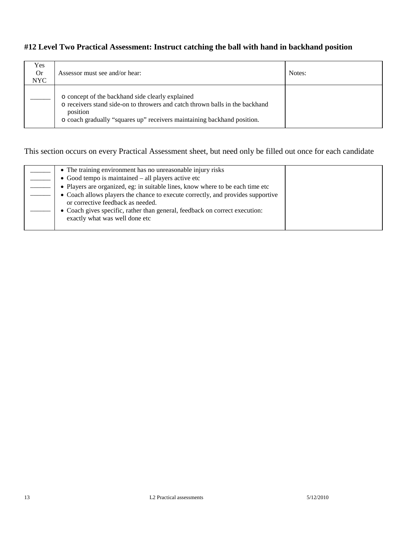### **#12 Level Two Practical Assessment: Instruct catching the ball with hand in backhand position**

| Yes<br><b>Or</b><br><b>NYC</b> | Assessor must see and/or hear:                                                                                                                                                                                          | Notes: |
|--------------------------------|-------------------------------------------------------------------------------------------------------------------------------------------------------------------------------------------------------------------------|--------|
|                                | o concept of the backhand side clearly explained<br>o receivers stand side-on to throwers and catch thrown balls in the backhand<br>position<br>o coach gradually "squares up" receivers maintaining backhand position. |        |

| • The training environment has no unreasonable injury risks<br>$\bullet$ Good tempo is maintained – all players active etc<br>• Players are organized, eg: in suitable lines, know where to be each time etc<br>• Coach allows players the chance to execute correctly, and provides supportive<br>or corrective feedback as needed.<br>• Coach gives specific, rather than general, feedback on correct execution:<br>exactly what was well done etc |  |
|-------------------------------------------------------------------------------------------------------------------------------------------------------------------------------------------------------------------------------------------------------------------------------------------------------------------------------------------------------------------------------------------------------------------------------------------------------|--|
|-------------------------------------------------------------------------------------------------------------------------------------------------------------------------------------------------------------------------------------------------------------------------------------------------------------------------------------------------------------------------------------------------------------------------------------------------------|--|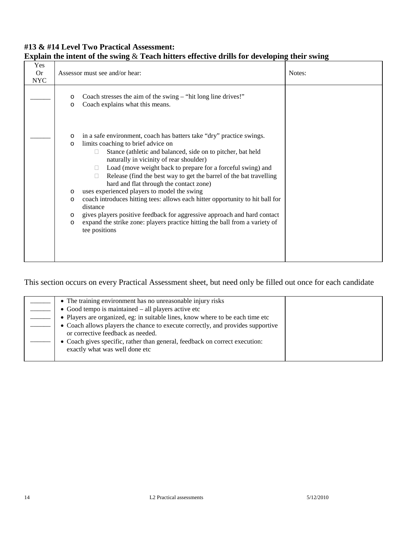### **#13 & #14 Level Two Practical Assessment: Explain the intent of the swing** & **Teach hitters effective drills for developing their swing**

| Yes<br><b>Or</b><br><b>NYC</b> |                              | Assessor must see and/or hear:                                                                                                                                                                                                                                                                                                                                                                             | Notes: |
|--------------------------------|------------------------------|------------------------------------------------------------------------------------------------------------------------------------------------------------------------------------------------------------------------------------------------------------------------------------------------------------------------------------------------------------------------------------------------------------|--------|
|                                | O<br>$\circ$                 | Coach stresses the aim of the swing $-$ "hit long line drives!"<br>Coach explains what this means.                                                                                                                                                                                                                                                                                                         |        |
|                                | O<br>$\circ$                 | in a safe environment, coach has batters take "dry" practice swings.<br>limits coaching to brief advice on<br>Stance (athletic and balanced, side on to pitcher, bat held<br>naturally in vicinity of rear shoulder)<br>Load (move weight back to prepare for a forceful swing) and<br>П.<br>Release (find the best way to get the barrel of the bat travelling<br>hard and flat through the contact zone) |        |
|                                | O<br>$\circ$<br>$\circ$<br>O | uses experienced players to model the swing<br>coach introduces hitting tees: allows each hitter opportunity to hit ball for<br>distance<br>gives players positive feedback for aggressive approach and hard contact<br>expand the strike zone: players practice hitting the ball from a variety of<br>tee positions                                                                                       |        |

| • The training environment has no unreasonable injury risks                                                          |  |
|----------------------------------------------------------------------------------------------------------------------|--|
| • Good tempo is maintained $-$ all players active etc                                                                |  |
| • Players are organized, eg: in suitable lines, know where to be each time etc                                       |  |
| • Coach allows players the chance to execute correctly, and provides supportive<br>or corrective feedback as needed. |  |
| • Coach gives specific, rather than general, feedback on correct execution:<br>exactly what was well done etc        |  |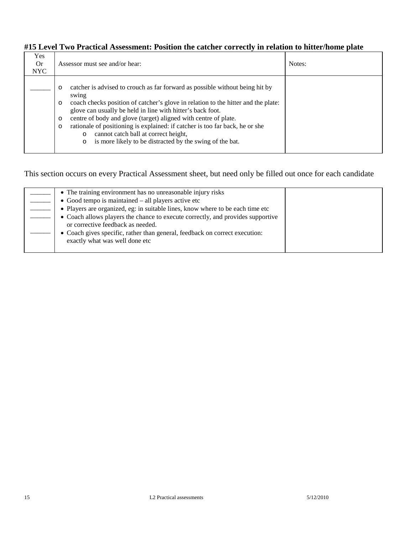### **#15 Level Two Practical Assessment: Position the catcher correctly in relation to hitter/home plate**

| Yes<br><b>Or</b><br>NYC | Assessor must see and/or hear:                                                                                                                                                                                                                                                                                                                                                                                                                                                                                                                                    | Notes: |
|-------------------------|-------------------------------------------------------------------------------------------------------------------------------------------------------------------------------------------------------------------------------------------------------------------------------------------------------------------------------------------------------------------------------------------------------------------------------------------------------------------------------------------------------------------------------------------------------------------|--------|
|                         | catcher is advised to crouch as far forward as possible without being hit by<br>$\circ$<br>swing<br>coach checks position of catcher's glove in relation to the hitter and the plate:<br>$\circ$<br>glove can usually be held in line with hitter's back foot.<br>centre of body and glove (target) aligned with centre of plate.<br>$\circ$<br>rationale of positioning is explained: if catcher is too far back, he or she<br>$\circ$<br>cannot catch ball at correct height,<br>$\circ$<br>is more likely to be distracted by the swing of the bat.<br>$\circ$ |        |

|  | • The training environment has no unreasonable injury risks<br>$\bullet$ Good tempo is maintained $-$ all players active etc<br>• Players are organized, eg: in suitable lines, know where to be each time etc<br>• Coach allows players the chance to execute correctly, and provides supportive<br>or corrective feedback as needed.<br>• Coach gives specific, rather than general, feedback on correct execution:<br>exactly what was well done etc |
|--|---------------------------------------------------------------------------------------------------------------------------------------------------------------------------------------------------------------------------------------------------------------------------------------------------------------------------------------------------------------------------------------------------------------------------------------------------------|
|--|---------------------------------------------------------------------------------------------------------------------------------------------------------------------------------------------------------------------------------------------------------------------------------------------------------------------------------------------------------------------------------------------------------------------------------------------------------|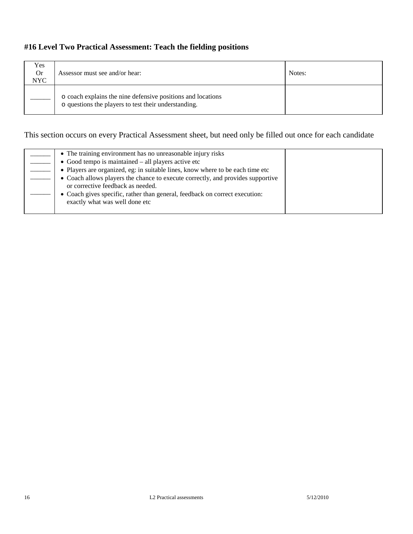## **#16 Level Two Practical Assessment: Teach the fielding positions**

| Yes<br><b>Or</b><br><b>NYC</b> | Assessor must see and/or hear:                                                                                      | Notes: |
|--------------------------------|---------------------------------------------------------------------------------------------------------------------|--------|
|                                | o coach explains the nine defensive positions and locations<br>o questions the players to test their understanding. |        |

| • The training environment has no unreasonable injury risks                                                          |  |
|----------------------------------------------------------------------------------------------------------------------|--|
| • Good tempo is maintained $-$ all players active etc                                                                |  |
| • Players are organized, eg: in suitable lines, know where to be each time etc                                       |  |
| • Coach allows players the chance to execute correctly, and provides supportive<br>or corrective feedback as needed. |  |
| • Coach gives specific, rather than general, feedback on correct execution:<br>exactly what was well done etc        |  |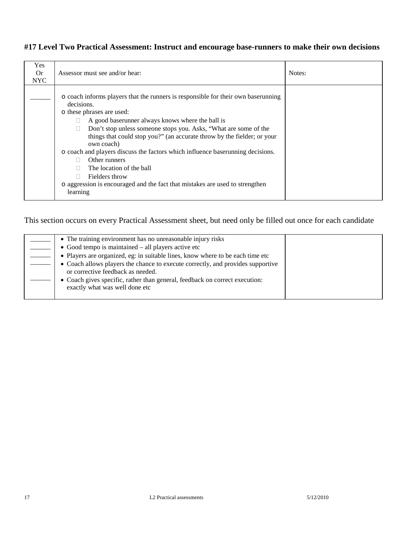### **#17 Level Two Practical Assessment: Instruct and encourage base-runners to make their own decisions**

| Yes<br>0r<br><b>NYC</b> | Assessor must see and/or hear:                                                                                                                                                                                                                                                                                                                                                                                                                                                                                                                                                             | Notes: |
|-------------------------|--------------------------------------------------------------------------------------------------------------------------------------------------------------------------------------------------------------------------------------------------------------------------------------------------------------------------------------------------------------------------------------------------------------------------------------------------------------------------------------------------------------------------------------------------------------------------------------------|--------|
|                         | o coach informs players that the runners is responsible for their own baserunning<br>decisions.<br>o these phrases are used:<br>A good baserunner always knows where the ball is<br>Don't stop unless someone stops you. Asks, "What are some of the<br>things that could stop you?" (an accurate throw by the fielder; or your<br>own coach)<br>o coach and players discuss the factors which influence baserunning decisions.<br>Other runners<br>The location of the ball<br>Fielders throw<br>o aggression is encouraged and the fact that mistakes are used to strengthen<br>learning |        |

| • The training environment has no unreasonable injury risks                                                          |  |
|----------------------------------------------------------------------------------------------------------------------|--|
| • Good tempo is maintained – all players active etc                                                                  |  |
| • Players are organized, eg: in suitable lines, know where to be each time etc                                       |  |
| • Coach allows players the chance to execute correctly, and provides supportive<br>or corrective feedback as needed. |  |
| • Coach gives specific, rather than general, feedback on correct execution:<br>exactly what was well done etc        |  |